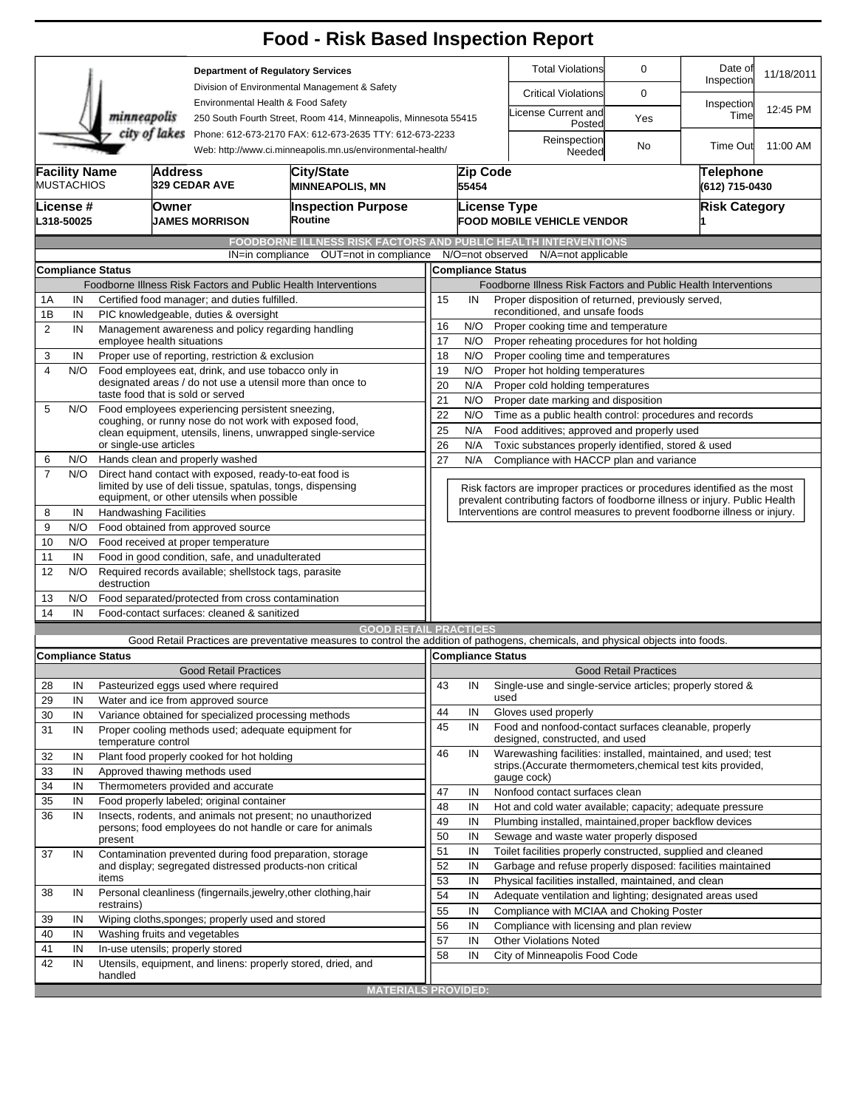|                     |                                           |                                                                   |                                                                                 | <b>Food - Risk Based Inspection Report</b>                                                                                                                                                                                                                                      |                            |                                                                                                                                                          |                                                                                                                                             |                                                                                                  |                              |                                    |            |  |  |  |  |
|---------------------|-------------------------------------------|-------------------------------------------------------------------|---------------------------------------------------------------------------------|---------------------------------------------------------------------------------------------------------------------------------------------------------------------------------------------------------------------------------------------------------------------------------|----------------------------|----------------------------------------------------------------------------------------------------------------------------------------------------------|---------------------------------------------------------------------------------------------------------------------------------------------|--------------------------------------------------------------------------------------------------|------------------------------|------------------------------------|------------|--|--|--|--|
|                     |                                           |                                                                   |                                                                                 | <b>Department of Regulatory Services</b>                                                                                                                                                                                                                                        |                            |                                                                                                                                                          |                                                                                                                                             | <b>Total Violations</b>                                                                          | 0                            | Date of<br>Inspection              | 11/18/2011 |  |  |  |  |
|                     |                                           |                                                                   |                                                                                 | Division of Environmental Management & Safety<br>Environmental Health & Food Safety<br>250 South Fourth Street, Room 414, Minneapolis, Minnesota 55415<br>Phone: 612-673-2170 FAX: 612-673-2635 TTY: 612-673-2233<br>Web: http://www.ci.minneapolis.mn.us/environmental-health/ |                            |                                                                                                                                                          |                                                                                                                                             | <b>Critical Violations</b>                                                                       | 0                            |                                    |            |  |  |  |  |
|                     |                                           | minneapolis                                                       |                                                                                 |                                                                                                                                                                                                                                                                                 |                            |                                                                                                                                                          |                                                                                                                                             | icense Current and<br>Posted                                                                     | Yes                          | Inspection<br>Time                 | 12:45 PM   |  |  |  |  |
|                     |                                           |                                                                   | city of lakes                                                                   |                                                                                                                                                                                                                                                                                 |                            |                                                                                                                                                          |                                                                                                                                             | Reinspection<br>Needed                                                                           | No                           | <b>Time Out</b>                    | 11:00 AM   |  |  |  |  |
|                     | <b>Facility Name</b><br><b>MUSTACHIOS</b> |                                                                   | <b>Address</b><br>329 CEDAR AVE                                                 | City/State<br><b>MINNEAPOLIS, MN</b>                                                                                                                                                                                                                                            |                            | 55454                                                                                                                                                    | Zip Code                                                                                                                                    |                                                                                                  |                              | <b>Telephone</b><br>(612) 715-0430 |            |  |  |  |  |
|                     | License #<br>L318-50025                   |                                                                   | Owner<br><b>JAMES MORRISON</b>                                                  | <b>Inspection Purpose</b><br>Routine                                                                                                                                                                                                                                            |                            |                                                                                                                                                          | License Type                                                                                                                                | <b>FOOD MOBILE VEHICLE VENDOR</b>                                                                |                              | <b>Risk Category</b>               |            |  |  |  |  |
|                     |                                           |                                                                   |                                                                                 | <b>FOODBORNE ILLNESS RISK FACTORS AND PUBLIC HEALTH INTERVENTIONS</b>                                                                                                                                                                                                           |                            |                                                                                                                                                          |                                                                                                                                             |                                                                                                  |                              |                                    |            |  |  |  |  |
|                     |                                           |                                                                   |                                                                                 | OUT=not in compliance<br>IN=in compliance                                                                                                                                                                                                                                       |                            |                                                                                                                                                          | N/O=not observed                                                                                                                            | N/A=not applicable                                                                               |                              |                                    |            |  |  |  |  |
|                     |                                           | <b>Compliance Status</b>                                          |                                                                                 |                                                                                                                                                                                                                                                                                 |                            |                                                                                                                                                          | <b>Compliance Status</b>                                                                                                                    |                                                                                                  |                              |                                    |            |  |  |  |  |
|                     |                                           |                                                                   |                                                                                 | Foodborne Illness Risk Factors and Public Health Interventions                                                                                                                                                                                                                  |                            | Foodborne Illness Risk Factors and Public Health Interventions                                                                                           |                                                                                                                                             |                                                                                                  |                              |                                    |            |  |  |  |  |
| 1A                  | IN                                        |                                                                   | Certified food manager; and duties fulfilled.                                   |                                                                                                                                                                                                                                                                                 |                            | Proper disposition of returned, previously served,<br>15<br>IN                                                                                           |                                                                                                                                             |                                                                                                  |                              |                                    |            |  |  |  |  |
| 1B                  | IN                                        |                                                                   | PIC knowledgeable, duties & oversight                                           |                                                                                                                                                                                                                                                                                 |                            | reconditioned, and unsafe foods<br>16<br>N/O<br>Proper cooking time and temperature                                                                      |                                                                                                                                             |                                                                                                  |                              |                                    |            |  |  |  |  |
| $\overline{2}$      | IN                                        |                                                                   | employee health situations                                                      | Management awareness and policy regarding handling                                                                                                                                                                                                                              |                            | 17<br>N/O<br>Proper reheating procedures for hot holding                                                                                                 |                                                                                                                                             |                                                                                                  |                              |                                    |            |  |  |  |  |
| 3                   | IN                                        |                                                                   | Proper use of reporting, restriction & exclusion                                |                                                                                                                                                                                                                                                                                 |                            | 18<br>N/O<br>Proper cooling time and temperatures                                                                                                        |                                                                                                                                             |                                                                                                  |                              |                                    |            |  |  |  |  |
| 4                   | N/O                                       |                                                                   | Food employees eat, drink, and use tobacco only in                              |                                                                                                                                                                                                                                                                                 |                            | 19<br>N/O<br>Proper hot holding temperatures                                                                                                             |                                                                                                                                             |                                                                                                  |                              |                                    |            |  |  |  |  |
|                     |                                           |                                                                   |                                                                                 | designated areas / do not use a utensil more than once to                                                                                                                                                                                                                       |                            | 20<br>N/A<br>Proper cold holding temperatures                                                                                                            |                                                                                                                                             |                                                                                                  |                              |                                    |            |  |  |  |  |
| 5                   | N/O                                       |                                                                   | taste food that is sold or served                                               |                                                                                                                                                                                                                                                                                 |                            | 21<br>N/O<br>Proper date marking and disposition                                                                                                         |                                                                                                                                             |                                                                                                  |                              |                                    |            |  |  |  |  |
|                     |                                           |                                                                   |                                                                                 | Food employees experiencing persistent sneezing,<br>coughing, or runny nose do not work with exposed food,                                                                                                                                                                      |                            |                                                                                                                                                          | 22<br>N/O<br>Time as a public health control: procedures and records                                                                        |                                                                                                  |                              |                                    |            |  |  |  |  |
|                     |                                           |                                                                   |                                                                                 | clean equipment, utensils, linens, unwrapped single-service                                                                                                                                                                                                                     |                            | N/A<br>25<br>Food additives; approved and properly used                                                                                                  |                                                                                                                                             |                                                                                                  |                              |                                    |            |  |  |  |  |
|                     |                                           | or single-use articles                                            |                                                                                 |                                                                                                                                                                                                                                                                                 |                            | 26<br>N/A<br>Toxic substances properly identified, stored & used<br>Compliance with HACCP plan and variance                                              |                                                                                                                                             |                                                                                                  |                              |                                    |            |  |  |  |  |
| 6<br>$\overline{7}$ | N/O                                       |                                                                   | Hands clean and properly washed                                                 | Direct hand contact with exposed, ready-to-eat food is                                                                                                                                                                                                                          | 27                         | N/A                                                                                                                                                      |                                                                                                                                             |                                                                                                  |                              |                                    |            |  |  |  |  |
|                     | N/O                                       |                                                                   |                                                                                 | limited by use of deli tissue, spatulas, tongs, dispensing                                                                                                                                                                                                                      |                            |                                                                                                                                                          |                                                                                                                                             |                                                                                                  |                              |                                    |            |  |  |  |  |
|                     |                                           |                                                                   | equipment, or other utensils when possible                                      |                                                                                                                                                                                                                                                                                 |                            | Risk factors are improper practices or procedures identified as the most<br>prevalent contributing factors of foodborne illness or injury. Public Health |                                                                                                                                             |                                                                                                  |                              |                                    |            |  |  |  |  |
| 8                   | IN                                        |                                                                   | <b>Handwashing Facilities</b>                                                   |                                                                                                                                                                                                                                                                                 |                            |                                                                                                                                                          |                                                                                                                                             | Interventions are control measures to prevent foodborne illness or injury.                       |                              |                                    |            |  |  |  |  |
| 9                   | N/O                                       |                                                                   | Food obtained from approved source                                              |                                                                                                                                                                                                                                                                                 |                            |                                                                                                                                                          |                                                                                                                                             |                                                                                                  |                              |                                    |            |  |  |  |  |
| 10                  | N/O                                       |                                                                   | Food received at proper temperature                                             |                                                                                                                                                                                                                                                                                 |                            |                                                                                                                                                          |                                                                                                                                             |                                                                                                  |                              |                                    |            |  |  |  |  |
| 11                  | IN                                        |                                                                   | Food in good condition, safe, and unadulterated                                 |                                                                                                                                                                                                                                                                                 |                            |                                                                                                                                                          |                                                                                                                                             |                                                                                                  |                              |                                    |            |  |  |  |  |
| 12                  | N/O                                       | destruction                                                       | Required records available; shellstock tags, parasite                           |                                                                                                                                                                                                                                                                                 |                            |                                                                                                                                                          |                                                                                                                                             |                                                                                                  |                              |                                    |            |  |  |  |  |
| 13                  | N/O                                       |                                                                   | Food separated/protected from cross contamination                               |                                                                                                                                                                                                                                                                                 |                            |                                                                                                                                                          |                                                                                                                                             |                                                                                                  |                              |                                    |            |  |  |  |  |
| 14                  | IN                                        |                                                                   | Food-contact surfaces: cleaned & sanitized                                      |                                                                                                                                                                                                                                                                                 |                            |                                                                                                                                                          |                                                                                                                                             |                                                                                                  |                              |                                    |            |  |  |  |  |
|                     |                                           |                                                                   |                                                                                 | <b>GOOD RETAIL PRACTICES</b>                                                                                                                                                                                                                                                    |                            |                                                                                                                                                          |                                                                                                                                             |                                                                                                  |                              |                                    |            |  |  |  |  |
|                     |                                           |                                                                   |                                                                                 | Good Retail Practices are preventative measures to control the addition of pathogens, chemicals, and physical objects into foods.                                                                                                                                               |                            |                                                                                                                                                          |                                                                                                                                             |                                                                                                  |                              |                                    |            |  |  |  |  |
|                     |                                           | <b>Compliance Status</b>                                          | <b>Good Retail Practices</b>                                                    |                                                                                                                                                                                                                                                                                 |                            |                                                                                                                                                          | Compliance Status                                                                                                                           |                                                                                                  | <b>Good Retail Practices</b> |                                    |            |  |  |  |  |
| 28                  | IN                                        |                                                                   | Pasteurized eggs used where required                                            |                                                                                                                                                                                                                                                                                 | 43                         | IN                                                                                                                                                       |                                                                                                                                             | Single-use and single-service articles; properly stored &                                        |                              |                                    |            |  |  |  |  |
| 29                  | IN                                        |                                                                   | Water and ice from approved source                                              |                                                                                                                                                                                                                                                                                 |                            |                                                                                                                                                          | used                                                                                                                                        |                                                                                                  |                              |                                    |            |  |  |  |  |
| 30                  | IN                                        | Variance obtained for specialized processing methods              | 44                                                                              | IN                                                                                                                                                                                                                                                                              |                            | Gloves used properly                                                                                                                                     |                                                                                                                                             |                                                                                                  |                              |                                    |            |  |  |  |  |
| 31                  | IN                                        |                                                                   |                                                                                 | Proper cooling methods used; adequate equipment for                                                                                                                                                                                                                             | 45                         | IN                                                                                                                                                       |                                                                                                                                             | Food and nonfood-contact surfaces cleanable, properly                                            |                              |                                    |            |  |  |  |  |
|                     |                                           | temperature control                                               |                                                                                 |                                                                                                                                                                                                                                                                                 | 46                         |                                                                                                                                                          |                                                                                                                                             | designed, constructed, and used<br>Warewashing facilities: installed, maintained, and used; test |                              |                                    |            |  |  |  |  |
| 32                  | IN                                        |                                                                   | Plant food properly cooked for hot holding                                      |                                                                                                                                                                                                                                                                                 |                            | IN                                                                                                                                                       |                                                                                                                                             | strips. (Accurate thermometers, chemical test kits provided,                                     |                              |                                    |            |  |  |  |  |
| 33                  | IN                                        |                                                                   | Approved thawing methods used                                                   |                                                                                                                                                                                                                                                                                 |                            |                                                                                                                                                          |                                                                                                                                             | gauge cock)                                                                                      |                              |                                    |            |  |  |  |  |
| 34<br>35            | IN<br>IN                                  |                                                                   | Thermometers provided and accurate<br>Food properly labeled; original container |                                                                                                                                                                                                                                                                                 | 47                         | IN                                                                                                                                                       |                                                                                                                                             | Nonfood contact surfaces clean                                                                   |                              |                                    |            |  |  |  |  |
| 36                  | IN                                        |                                                                   |                                                                                 | Insects, rodents, and animals not present; no unauthorized                                                                                                                                                                                                                      | 48                         | IN                                                                                                                                                       |                                                                                                                                             | Hot and cold water available; capacity; adequate pressure                                        |                              |                                    |            |  |  |  |  |
|                     |                                           |                                                                   |                                                                                 | persons; food employees do not handle or care for animals                                                                                                                                                                                                                       | 49                         | IN                                                                                                                                                       |                                                                                                                                             | Plumbing installed, maintained, proper backflow devices                                          |                              |                                    |            |  |  |  |  |
|                     |                                           | present                                                           |                                                                                 |                                                                                                                                                                                                                                                                                 | 50                         | IN                                                                                                                                                       |                                                                                                                                             | Sewage and waste water properly disposed                                                         |                              |                                    |            |  |  |  |  |
| 37                  | IN                                        |                                                                   |                                                                                 | Contamination prevented during food preparation, storage                                                                                                                                                                                                                        | 51                         | IN                                                                                                                                                       |                                                                                                                                             | Toilet facilities properly constructed, supplied and cleaned                                     |                              |                                    |            |  |  |  |  |
|                     |                                           | and display; segregated distressed products-non critical<br>items |                                                                                 |                                                                                                                                                                                                                                                                                 |                            |                                                                                                                                                          | 52<br>IN<br>Garbage and refuse properly disposed: facilities maintained<br>53<br>IN<br>Physical facilities installed, maintained, and clean |                                                                                                  |                              |                                    |            |  |  |  |  |
| 38                  | IN                                        |                                                                   |                                                                                 | Personal cleanliness (fingernails, jewelry, other clothing, hair                                                                                                                                                                                                                |                            | IN                                                                                                                                                       |                                                                                                                                             |                                                                                                  |                              |                                    |            |  |  |  |  |
|                     |                                           | restrains)                                                        |                                                                                 |                                                                                                                                                                                                                                                                                 |                            | 54<br>Adequate ventilation and lighting; designated areas used<br>55<br>Compliance with MCIAA and Choking Poster<br>IN                                   |                                                                                                                                             |                                                                                                  |                              |                                    |            |  |  |  |  |
| 39                  | IN                                        |                                                                   | Wiping cloths, sponges; properly used and stored                                |                                                                                                                                                                                                                                                                                 | 56                         | IN                                                                                                                                                       |                                                                                                                                             | Compliance with licensing and plan review                                                        |                              |                                    |            |  |  |  |  |
| 40                  | IN                                        |                                                                   | Washing fruits and vegetables                                                   |                                                                                                                                                                                                                                                                                 | 57                         | IN                                                                                                                                                       |                                                                                                                                             | <b>Other Violations Noted</b>                                                                    |                              |                                    |            |  |  |  |  |
| 41                  | IN                                        |                                                                   | In-use utensils; properly stored                                                |                                                                                                                                                                                                                                                                                 | 58                         | IN                                                                                                                                                       |                                                                                                                                             | City of Minneapolis Food Code                                                                    |                              |                                    |            |  |  |  |  |
| 42                  | IN                                        | handled                                                           |                                                                                 | Utensils, equipment, and linens: properly stored, dried, and                                                                                                                                                                                                                    |                            |                                                                                                                                                          |                                                                                                                                             |                                                                                                  |                              |                                    |            |  |  |  |  |
|                     |                                           |                                                                   |                                                                                 |                                                                                                                                                                                                                                                                                 | <b>MATERIALS PROVIDED:</b> |                                                                                                                                                          |                                                                                                                                             |                                                                                                  |                              |                                    |            |  |  |  |  |
|                     |                                           |                                                                   |                                                                                 |                                                                                                                                                                                                                                                                                 |                            |                                                                                                                                                          |                                                                                                                                             |                                                                                                  |                              |                                    |            |  |  |  |  |